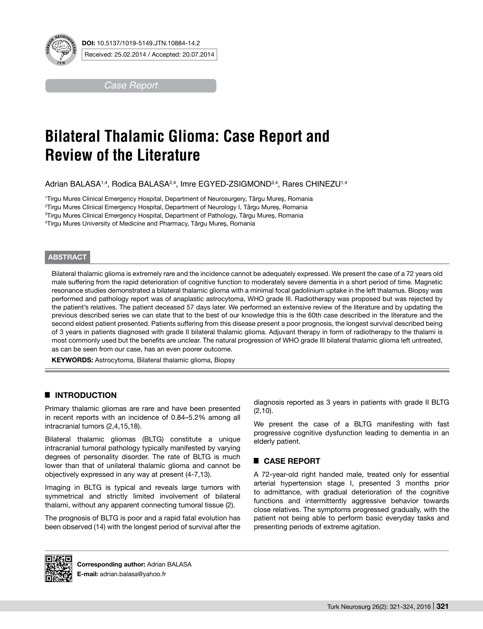

*Case Report*

# **Bilateral Thalamic Glioma: Case Report and Review of the Literature**

Adrian BALASA<sup>1,4</sup>, Rodica BALASA<sup>2,4</sup>, Imre EGYED-ZSIGMOND<sup>3,4</sup>, Rares CHINEZU<sup>1,4</sup>

 Tirgu Mures Clinical Emergency Hospital, Department of Neurosurgery, Târgu Mureș, Romania Tirgu Mures Clinical Emergency Hospital, Department of Neurology I, Târgu Mureș, Romania Tirgu Mures Clinical Emergency Hospital, Department of Pathology, Târgu Mureș, Romania Tirgu Mures University of Medicine and Pharmacy, Târgu Mureș, Romania

### **ABSTRACT**

Bilateral thalamic glioma is extremely rare and the incidence cannot be adequately expressed. We present the case of a 72 years old male suffering from the rapid deterioration of cognitive function to moderately severe dementia in a short period of time. Magnetic resonance studies demonstrated a bilateral thalamic glioma with a minimal focal gadolinium uptake in the left thalamus. Biopsy was performed and pathology report was of anaplastic astrocytoma, WHO grade III. Radiotherapy was proposed but was rejected by the patient's relatives. The patient deceased 57 days later. We performed an extensive review of the literature and by updating the previous described series we can state that to the best of our knowledge this is the 60th case described in the literature and the second eldest patient presented. Patients suffering from this disease present a poor prognosis, the longest survival described being of 3 years in patients diagnosed with grade II bilateral thalamic glioma. Adjuvant therapy in form of radiotherapy to the thalami is most commonly used but the benefits are unclear. The natural progression of WHO grade III bilateral thalamic glioma left untreated, as can be seen from our case, has an even poorer outcome.

**KEYWORDS:** Astrocytoma, Bilateral thalamic glioma, Biopsy

## █ **Introduction**

Primary thalamic gliomas are rare and have been presented in recent reports with an incidence of 0.84–5.2% among all intracranial tumors (2,4,15,18).

Bilateral thalamic gliomas (BLTG) constitute a unique intracranial tumoral pathology typically manifested by varying degrees of personality disorder. The rate of BLTG is much lower than that of unilateral thalamic glioma and cannot be objectively expressed in any way at present (4-7,13).

Imaging in BLTG is typical and reveals large tumors with symmetrical and strictly limited involvement of bilateral thalami, without any apparent connecting tumoral tissue (2).

The prognosis of BLTG is poor and a rapid fatal evolution has been observed (14) with the longest period of survival after the

diagnosis reported as 3 years in patients with grade II BLTG (2,10).

We present the case of a BLTG manifesting with fast progressive cognitive dysfunction leading to dementia in an elderly patient.

## █ **Case report**

A 72-year-old right handed male, treated only for essential arterial hypertension stage I, presented 3 months prior to admittance, with gradual deterioration of the cognitive functions and intermittently aggressive behavior towards close relatives. The symptoms progressed gradually, with the patient not being able to perform basic everyday tasks and presenting periods of extreme agitation.



**Corresponding author: Adrian BALASA E-mail:** adrian.balasa@yahoo.fr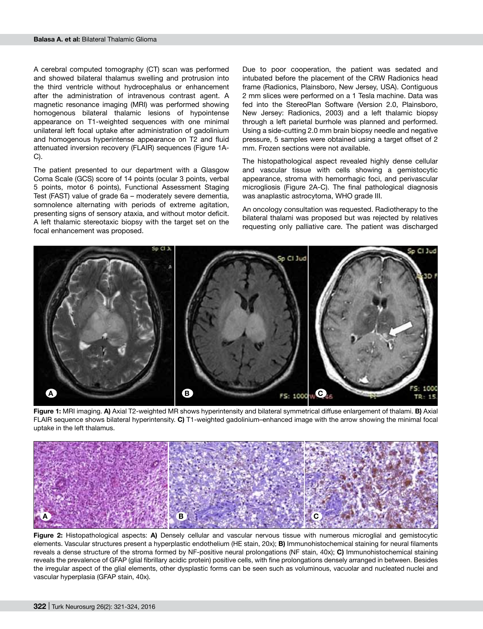A cerebral computed tomography (CT) scan was performed and showed bilateral thalamus swelling and protrusion into the third ventricle without hydrocephalus or enhancement after the administration of intravenous contrast agent. A magnetic resonance imaging (MRI) was performed showing homogenous bilateral thalamic lesions of hypointense appearance on T1-weighted sequences with one minimal unilateral left focal uptake after administration of gadolinium and homogenous hyperintense appearance on T2 and fluid attenuated inversion recovery (FLAIR) sequences (Figure 1A-C).

The patient presented to our department with a Glasgow Coma Scale (GCS) score of 14 points (ocular 3 points, verbal 5 points, motor 6 points), Functional Assessment Staging Test (FAST) value of grade 6a – moderately severe dementia, somnolence alternating with periods of extreme agitation, presenting signs of sensory ataxia, and without motor deficit. A left thalamic stereotaxic biopsy with the target set on the focal enhancement was proposed.

Due to poor cooperation, the patient was sedated and intubated before the placement of the CRW Radionics head frame (Radionics, Plainsboro, New Jersey, USA). Contiguous 2 mm slices were performed on a 1 Tesla machine. Data was fed into the StereoPlan Software (Version 2.0, Plainsboro, New Jersey: Radionics, 2003) and a left thalamic biopsy through a left parietal burrhole was planned and performed. Using a side-cutting 2.0 mm brain biopsy needle and negative pressure, 5 samples were obtained using a target offset of 2 mm. Frozen sections were not available.

The histopathological aspect revealed highly dense cellular and vascular tissue with cells showing a gemistocytic appearance, stroma with hemorrhagic foci, and perivascular microgliosis (Figure 2A-C). The final pathological diagnosis was anaplastic astrocytoma, WHO grade III.

An oncology consultation was requested. Radiotherapy to the bilateral thalami was proposed but was rejected by relatives requesting only palliative care. The patient was discharged



**Figure 1:** MRI imaging. **A)** Axial T2-weighted MR shows hyperintensity and bilateral symmetrical diffuse enlargement of thalami. **B)** Axial FLAIR sequence shows bilateral hyperintensity. **C)** T1-weighted gadolinium–enhanced image with the arrow showing the minimal focal uptake in the left thalamus.



**Figure 2:** Histopathological aspects: **A)** Densely cellular and vascular nervous tissue with numerous microglial and gemistocytic elements. Vascular structures present a hyperplastic endothelium (HE stain, 20x); **B)** Immunohistochemical staining for neural filaments reveals a dense structure of the stroma formed by NF-positive neural prolongations (NF stain, 40x); **C)** Immunohistochemical staining reveals the prevalence of GFAP (glial fibrillary acidic protein) positive cells, with fine prolongations densely arranged in between. Besides the irregular aspect of the glial elements, other dysplastic forms can be seen such as voluminous, vacuolar and nucleated nuclei and vascular hyperplasia (GFAP stain, 40x).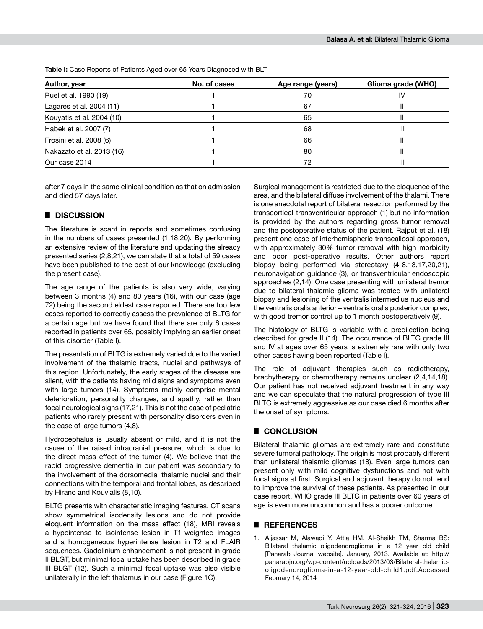**Author, year No. of cases Age range (years) Glioma grade (WHO)** Ruel et al. 1990 (19) 1 1 1 1 2 1 1 2 1 2 1 2 1 1 2 1 1 2 1 2 1 1 2 1 1 2 1 1 2 1 2 1 1 2 1 1 2 1 2 1 2 1 2 1 2 1 2 1 2 1 2 1 2 1 2 1 2 1 2 1 2 1 2 1 2 1 2 1 2 1 2 1 2 1 2 1 2 1 2 1 2 1 2 1 2 1 2 1 2 1 2 1 2 1 2 1 2 1 2 1 Lagares et al. 2004 (11)  $\overline{1}$  1 67  $\overline{67}$  II Kouyatis et al. 2004 (10) 1 65 II

Habek et al. 2007 (7) 1 68 III Frosini et al. 2008 (6) 1 66 II Nakazato et al. 2013 (16) 1 80 II Our case 2014 **1** 1 72 **III** 

**Table I:** Case Reports of Patients Aged over 65 Years Diagnosed with BLT

after 7 days in the same clinical condition as that on admission and died 57 days later.

#### █ **Discussion**

The literature is scant in reports and sometimes confusing in the numbers of cases presented (1,18,20). By performing an extensive review of the literature and updating the already presented series (2,8,21), we can state that a total of 59 cases have been published to the best of our knowledge (excluding the present case).

The age range of the patients is also very wide, varying between 3 months (4) and 80 years (16), with our case (age 72) being the second eldest case reported. There are too few cases reported to correctly assess the prevalence of BLTG for a certain age but we have found that there are only 6 cases reported in patients over 65, possibly implying an earlier onset of this disorder (Table I).

The presentation of BLTG is extremely varied due to the varied involvement of the thalamic tracts, nuclei and pathways of this region. Unfortunately, the early stages of the disease are silent, with the patients having mild signs and symptoms even with large tumors (14). Symptoms mainly comprise mental deterioration, personality changes, and apathy, rather than focal neurological signs (17,21). This is not the case of pediatric patients who rarely present with personality disorders even in the case of large tumors (4,8).

Hydrocephalus is usually absent or mild, and it is not the cause of the raised intracranial pressure, which is due to the direct mass effect of the tumor (4). We believe that the rapid progressive dementia in our patient was secondary to the involvement of the dorsomedial thalamic nuclei and their connections with the temporal and frontal lobes, as described by Hirano and Kouyialis (8,10).

BLTG presents with characteristic imaging features. CT scans show symmetrical isodensity lesions and do not provide eloquent information on the mass effect (18), MRI reveals a hypointense to isointense lesion in T1-weighted images and a homogeneous hyperintense lesion in T2 and FLAIR sequences. Gadolinium enhancement is not present in grade II BLGT, but minimal focal uptake has been described in grade III BLGT (12). Such a minimal focal uptake was also visible unilaterally in the left thalamus in our case (Figure 1C).

Surgical management is restricted due to the eloquence of the area, and the bilateral diffuse involvement of the thalami. There is one anecdotal report of bilateral resection performed by the transcortical-transventricular approach (1) but no information is provided by the authors regarding gross tumor removal and the postoperative status of the patient. Rajput et al. (18) present one case of interhemispheric transcallosal approach, with approximately 30% tumor removal with high morbidity and poor post-operative results. Other authors report biopsy being performed via stereotaxy (4-8,13,17,20,21), neuronavigation guidance (3), or transventricular endoscopic approaches (2,14). One case presenting with unilateral tremor due to bilateral thalamic glioma was treated with unilateral biopsy and lesioning of the ventralis intermedius nucleus and the ventralis oralis anterior – ventralis oralis posterior complex, with good tremor control up to 1 month postoperatively (9).

The histology of BLTG is variable with a predilection being described for grade II (14). The occurrence of BLTG grade III and IV at ages over 65 years is extremely rare with only two other cases having been reported (Table I).

The role of adjuvant therapies such as radiotherapy, brachytherapy or chemotherapy remains unclear (2,4,14,18). Our patient has not received adjuvant treatment in any way and we can speculate that the natural progression of type III BLTG is extremely aggressive as our case died 6 months after the onset of symptoms.

#### █ **Conclusion**

Bilateral thalamic gliomas are extremely rare and constitute severe tumoral pathology. The origin is most probably different than unilateral thalamic gliomas (18). Even large tumors can present only with mild cognitive dysfunctions and not with focal signs at first. Surgical and adjuvant therapy do not tend to improve the survival of these patients. As presented in our case report, WHO grade III BLTG in patients over 60 years of age is even more uncommon and has a poorer outcome.

#### █ **References**

1. Aljassar M, Alawadi Y, Attia HM, Al-Sheikh TM, Sharma BS: Bilateral thalamic oligodendroglioma in a 12 year old child [Panarab Journal website]. January, 2013. Available at: http:// panarabjn.org/wp-content/uploads/2013/03/Bilateral-thalamicoligodendroglioma-in-a-12-year-old-child1.pdf.Accessed February 14, 2014